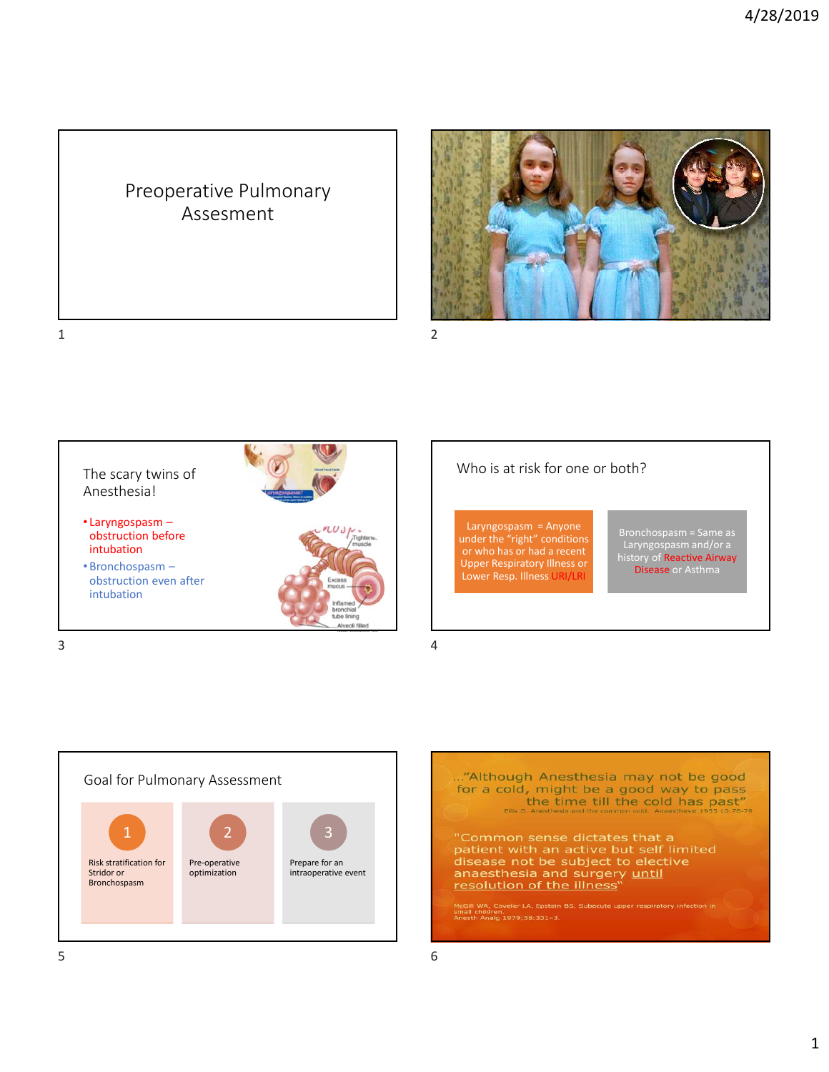## Preoperative Pulmonary Assesment



 $1$  2





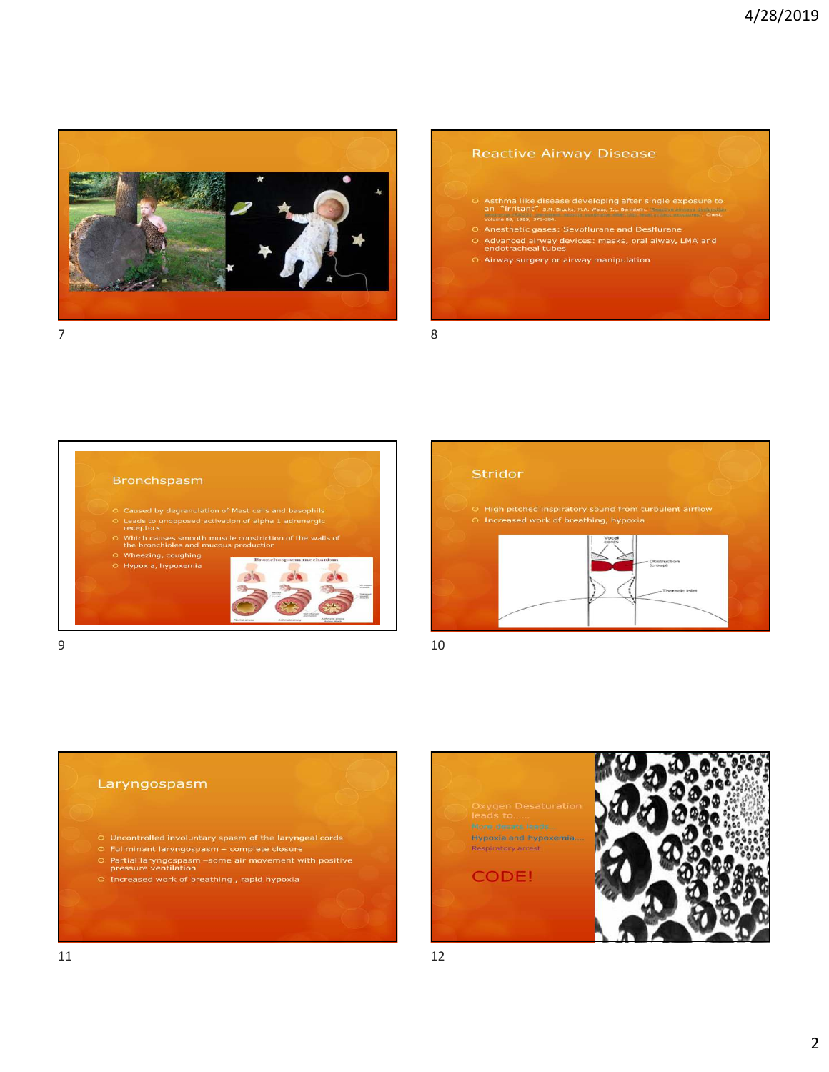

## **Reactive Airway Disease**

- O Asthma like disease developing after single exposure to<br>an "irritant" s.m. Brooks, M.A. Welss, J.L. Bernstein. The exposure to<br>volume 88, 1985, 376-384.
- O Anesthetic gases: Sevoflurane and Desflurane
- O Ariestrietic gases. Sevontifaire and Destrutante<br>O Advanced airway devices: masks, oral aiway, LMA and<br>endotracheal tubes
- 







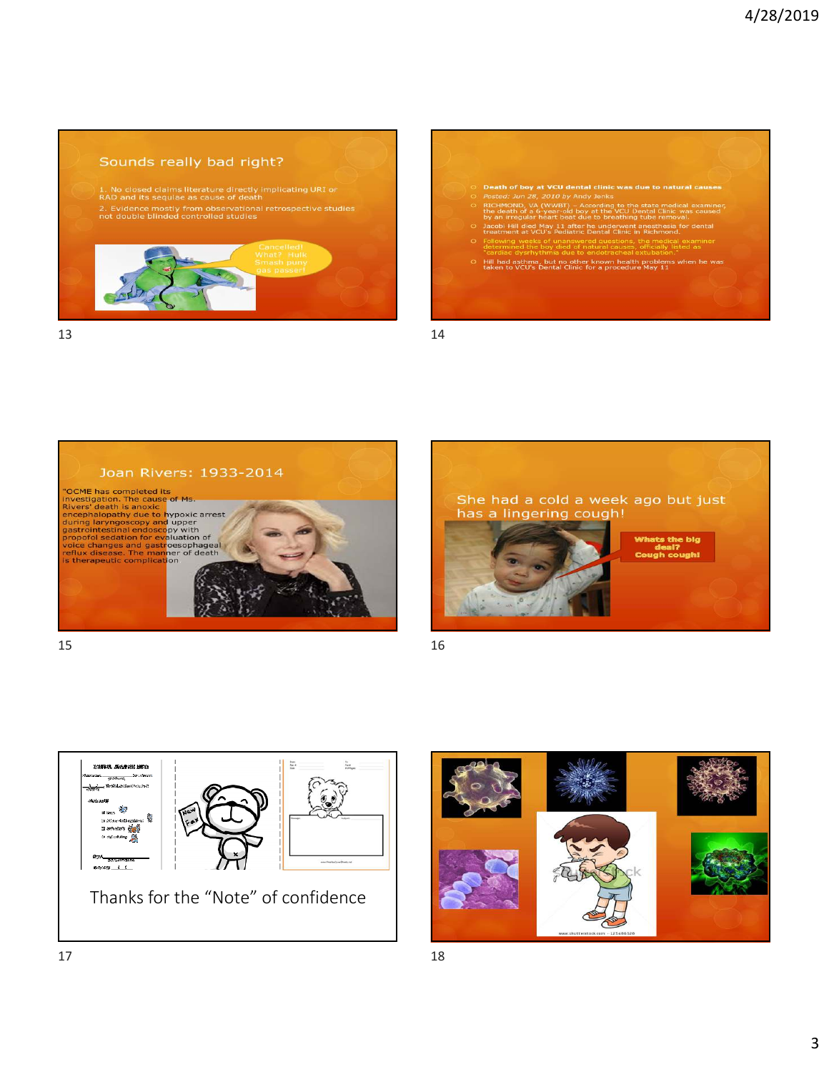## Sounds really bad right?

1. No closed claims literature directly implicating URI or<br>RAD and its sequiae as cause of death<br>2. Evidence mostly from observational retrospective studies<br>not double blinded controlled studies



 $13$  and  $14$ 

| $\circ$ | Death of boy at VCU dental clinic was due to natural causes                                                                                                                                        |
|---------|----------------------------------------------------------------------------------------------------------------------------------------------------------------------------------------------------|
|         | O Posted: Jun 28, 2010 by Andy Jenks                                                                                                                                                               |
|         | O RICHMOND, VA (WWBT) - According to the state medical examiner,<br>the death of a 6-year-old boy at the VCU Dental Clinic was caused<br>by an irregular heart beat due to breathing tube removal. |
|         | O Jacobi Hill died May 11 after he underwent anesthesia for dental<br>treatment at VCU's Pediatric Dental Clinic in Richmond.                                                                      |
|         | O Following weeks of unanswered questions, the medical examiner<br>determined the boy died of natural causes, officially listed as<br>"cardiac dysrhythmia due to endotracheal extubation."        |
|         | O Hill had asthma, but no other known health problems when he was<br>taken to VCU's Dental Clinic for a procedure May 11                                                                           |
|         |                                                                                                                                                                                                    |
|         |                                                                                                                                                                                                    |



 $15$  and  $16$ 







 $17$  and  $18$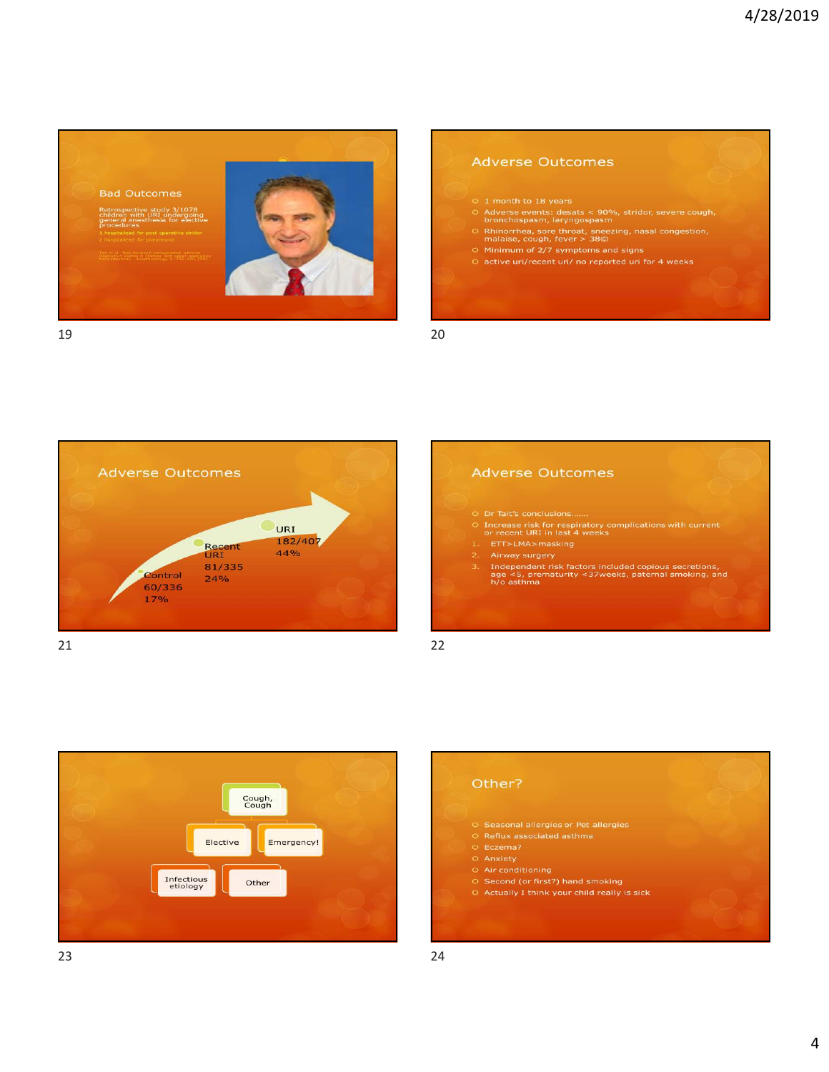

## **Adverse Outcomes**

- O 1 month to 18 years<br>
O Adverse events: desats < 90%, stridor, severe cough,<br>
bronchospasm, laryngospasm<br>
O Rhinorrhea, sore throat, sneezing, nasal congestion,<br>
malaise, cough, fever > 38©
- 
- O Minimum of 2/7 symptoms and signs
- 

19 20



# **Adverse Outcomes**  $\circ$  Increase risk for respiratory complications with current<br>or recent URI in last 4 weeks 2. Airway surgery<br>3. Independent risk factors included copious secretions,<br>age <5, prematurity <37weeks, paternal smoking, and<br>h/o asthma



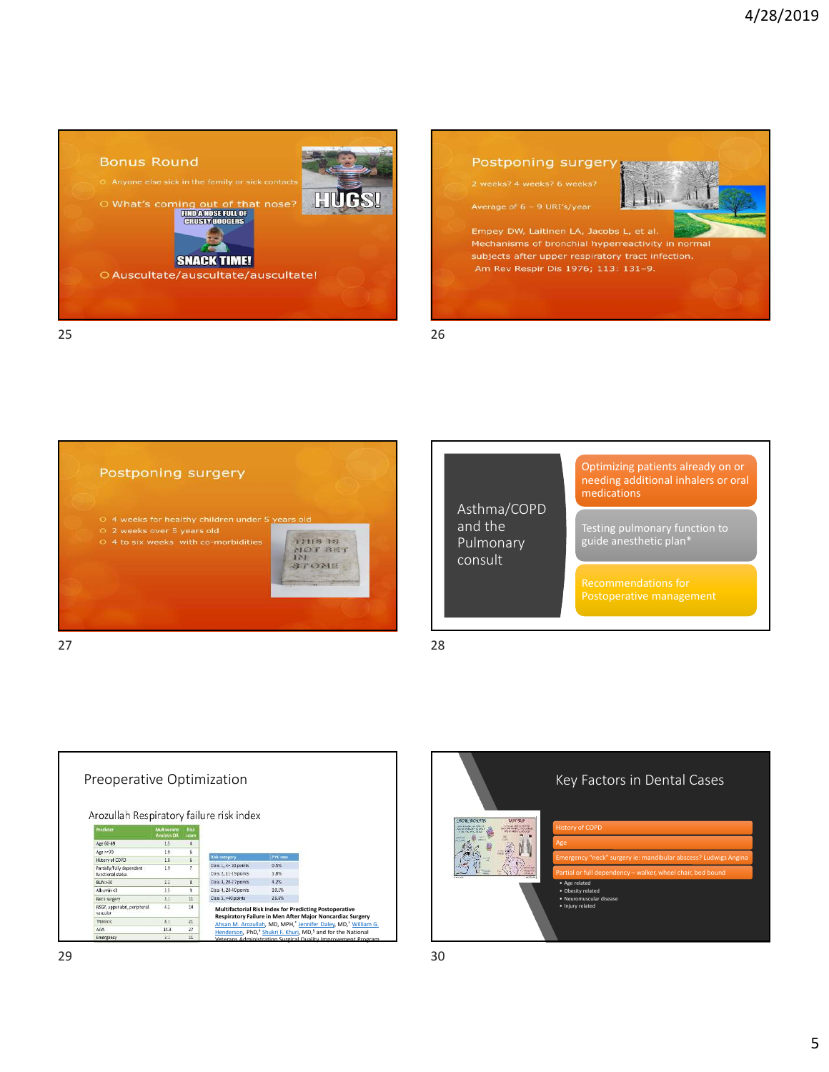





|                                                | Optimizing patients already on or<br>needing additional inhalers or oral<br>medications |
|------------------------------------------------|-----------------------------------------------------------------------------------------|
| Asthma/COPD<br>and the<br>Pulmonary<br>consult | Testing pulmonary function to<br>guide anesthetic plan*                                 |
|                                                | Recommendations for<br>Postoperative management                                         |